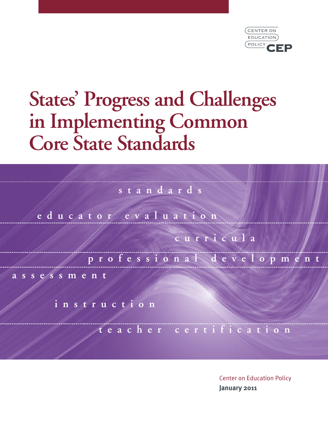

# **States ' Progress and Challenges in Implementing Common Core State Standards**

**s t a n d a r d s**

**e d u c a t o r e v a l u a t i o n**

**c u r r i c u l a**

**p r o f e s s i o n a l d e v e l o p m e n t**

**a s s e s s m e n t**

**i n s t r u c t i o n**

**t e a c h e r c e r t i f i c a t i o n**

Center on Education Policy **January 2011**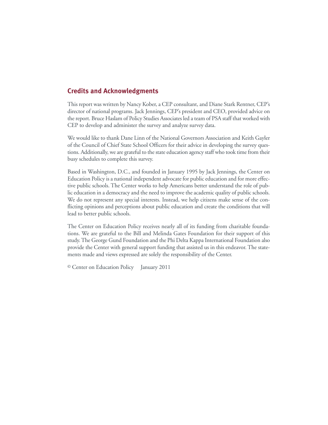# **Credits and Acknowledgments**

This report was written by Nancy Kober, a CEP consultant, and Diane Stark Rentner, CEP's director of national programs. Jack Jennings, CEP's president and CEO, provided advice on the report. Bruce Haslam of Policy Studies Associates led a team of PSA staff that worked with CEP to develop and administer the survey and analyze survey data.

We would like to thank Dane Linn of the National Governors Association and Keith Gayler of the Council of Chief State School Officers for their advice in developing the survey questions. Additionally, we are grateful to the state education agency staff who took time from their busy schedules to complete this survey.

Based in Washington, D.C., and founded in January 1995 by Jack Jennings, the Center on Education Policy is a national independent advocate for public education and for more effective public schools. The Center works to help Americans better understand the role of public education in a democracy and the need to improve the academic quality of public schools. We do not represent any special interests. Instead, we help citizens make sense of the conflicting opinions and perceptions about public education and create the conditions that will lead to better public schools.

The Center on Education Policy receives nearly all of its funding from charitable foundations. We are grateful to the Bill and Melinda Gates Foundation for their support of this study.The George Gund Foundation and the Phi Delta Kappa International Foundation also provide the Center with general support funding that assisted us in this endeavor. The statements made and views expressed are solely the responsibility of the Center.

© Center on Education Policy January 2011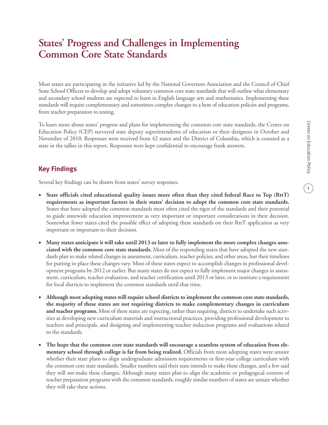# **States ' Progress and Challenges in Implementing Common Core State Standards**

Most states are participating in the initiative led by the National Governors Association and the Council of Chief State School Officers to develop and adopt voluntary common core state standards that will outline what elementary and secondary school students are expected to learn in English language arts and mathematics. Implementing these standards will require complementary and sometimes complex changes to a host of education policies and programs, from teacher preparation to testing.

To learn more about states' progress and plans for implementing the common core state standards, the Center on Education Policy (CEP) surveyed state deputy superintendents of education or their designees in October and November of 2010. Responses were received from 42 states and the District of Columbia, which is counted as a state in the tallies in this report. Responses were kept confidential to encourage frank answers.

# **Key Findings**

Several key findings can be drawn from states' survey responses.

- **• State officials cited educational quality issues more often than they cited federal Race to Top (RttT) requirements as important factors in their states' decision to adopt the common core state standards.** States that have adopted the common standards most often cited the rigor of the standards and their potential to guide statewide education improvement as very important or important considerations in their decision. Somewhat fewer states cited the possible effect of adopting these standards on their RttT application as very important or important to their decision.
- Many states anticipate it will take until 2013 or later to fully implement the more complex changes asso**ciated with the common core state standards.** Most of the responding states that have adopted the new standards plan to make related changes in assessment, curriculum, teacher policies, and other areas, but their timelines for putting in place these changes vary. Most of these states expect to accomplish changes in professional development programs by 2012 or earlier. But many states do not expect to fully implement major changes in assessment, curriculum, teacher evaluation, and teacher certification until 2013 or later, or to institute a requirement for local districts to implement the common standards until that time.
- **• Although most adopting states will require school districts to implement the common core state standards, the majority of these states are not requiring districts to make complementary changes in curriculum and teacher programs.** Most of these states are expecting, rather than requiring, districts to undertake such activities as developing new curriculum materials and instructional practices, providing professional development to teachers and principals, and designing and implementing teacher induction programs and evaluations related to the standards.
- The hope that the common core state standards will encourage a seamless system of education from ele**mentary school through college is far from being realized.** Officials from most adopting states were unsure whether their state plans to align undergraduate admission requirements or first-year college curriculum with the common core state standards. Smaller numbers said their state intends to make these changes, and a few said they will *not* make these changes. Although many states plan to align the academic or pedagogical content of teacher preparation programs with the common standards, roughly similar numbers of states are unsure whether they will take these actions.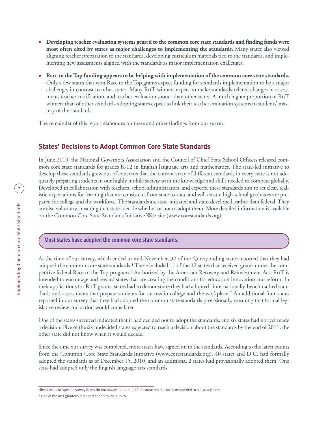- **• Developing teacher evaluation systems geared to the common core state standards and finding funds were most often cited by states as major challenges to implementing the standards.** Many states also viewed aligning teacher preparation to the standards, developing curriculum materials tied to the standards, and implementing new assessments aligned with the standards as major implementation challenges.
- Race to the Top funding appears to be helping with implementation of the common core state standards. Only a few states that won Race to the Top grants expect funding for standards implementation to be a major challenge, in contrast to other states. Many RttT winners expect to make standards-related changes in assessment, teacher certification, and teacher evaluation sooner than other states. A much higher proportion of RttT winners than of other standards-adopting states expect to link their teacher evaluation systems to students' mastery of the standards.

The remainder of this report elaborates on these and other findings from our survey.

# **States' Decisions to Adopt Common Core State Standards**

In June 2010, the National Governors Association and the Council of Chief State School Officers released common core state standards for grades K-12 in English language arts and mathematics. The state-led initiative to develop these standards grew out of concerns that the current array of different standards in every state is not adequately preparing students in our highly mobile society with the knowledge and skills needed to compete globally. Developed in collaboration with teachers, school administrators, and experts, these standards aim to set clear, realistic expectations for learning that are consistent from state to state and will ensure high school graduates are prepared for college and the workforce. The standards are state-initiated and state-developed, rather than federal. They are also voluntary, meaning that states decide whether or not to adopt them. More detailed information is available on the Common Core State Standards Initiative Web site (www.corestandards.org).

#### **Most states have adopted the common core state standards.**

At the time of our survey, which ended in mid-November, 32 of the 43 responding states reported that they had adopted the common core state standards.1 These included 11 of the 12 states that received grants under the competitive federal Race to the Top program.2 Authorized by the American Recovery and Reinvestment Act, RttT is intended to encourage and reward states that are creating the conditions for education innovation and reform. In their applications for RttT grants, states had to demonstrate they had adopted "internationally-benchmarked standards and assessments that prepare students for success in college and the workplace." An additional four states reported in our survey that they had adopted the common state standards provisionally, meaning that formal legislative review and action would come later.

One of the states surveyed indicated that it had decided not to adopt the standards, and six states had not yet made a decision. Five of the six undecided states expected to reach a decision about the standards by the end of 2011; the other state did not know when it would decide.

Since the time our survey was completed, more states have signed on to the standards. According to the latest counts from the Common Core State Standards Initiative (www.corestandards.org), 40 states and D.C. had formally adopted the standards as of December 15, 2010, and an additional 2 states had provisionally adopted them. One state had adopted only the English language arts standards.

<sup>1</sup>Responses to specific survey items do not always add up to 43 because not all states responded to all survey items.

<sup>2</sup> One of the RttT grantees did not respond to the survey.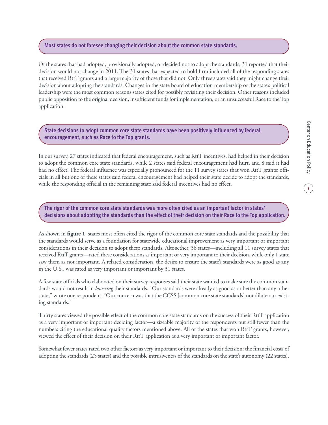#### **Most states do not foresee changing their decision about the common state standards.**

Of the states that had adopted, provisionally adopted, or decided not to adopt the standards, 31 reported that their decision would not change in 2011. The 31 states that expected to hold firm included all of the responding states that received RttT grants and a large majority of those that did not. Only three states said they might change their decision about adopting the standards. Changes in the state board of education membership or the state's political leadership were the most common reasons states cited for possibly revisiting their decision. Other reasons included public opposition to the original decision, insufficient funds for implementation, or an unsuccessful Race to the Top application.

**State decisions to adoptcommon core state standards have been positively influenced by federal encouragement, such as Race to the Top grants.**

In our survey, 27 states indicated that federal encouragement, such as RttT incentives, had helped in their decision to adopt the common core state standards, while 2 states said federal encouragement had hurt, and 8 said it had had no effect. The federal influence was especially pronounced for the 11 survey states that won RttT grants; officials in all but one of these states said federal encouragement had helped their state decide to adopt the standards, while the responding official in the remaining state said federal incentives had no effect.

The rigor of the common core state standards was more often cited as an important factor in states' decisions about adopting the standards than the effect of their decision on their Race to the Top application.

As shown in **figure 1**, states most often cited the rigor of the common core state standards and the possibility that the standards would serve as a foundation for statewide educational improvement as very important or important considerations in their decision to adopt these standards. Altogether, 36 states—including all 11 survey states that received RttT grants—rated these considerations as important or very important to their decision, while only 1 state saw them as not important. A related consideration, the desire to ensure the state's standards were as good as any in the U.S., was rated as very important or important by 31 states.

A few state officials who elaborated on their survey responses said their state wanted to make sure the common standards would not result in *lowering* their standards. "Our standards were already as good as or better than any other state," wrote one respondent. "Our concern was that the CCSS [common core state standards] not dilute our existing standards."

Thirty states viewed the possible effect of the common core state standards on the success of their RttT application as a very important or important deciding factor—a sizeable majority of the respondents but still fewer than the numbers citing the educational quality factors mentioned above. All of the states that won RttT grants, however, viewed the effect of their decision on their RttT application as a very important or important factor.

Somewhat fewer states rated two other factors as very important or important to their decision: the financial costs of adopting the standards (25 states) and the possible intrusiveness of the standards on the state's autonomy (22 states).

**3**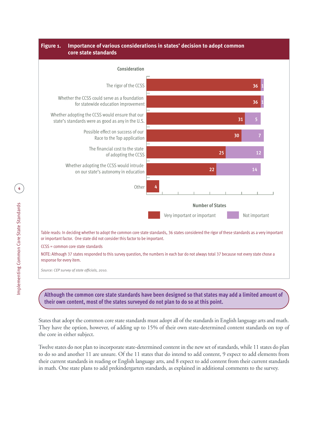



Although the common core state standards have been designed so that states may add a limited amount of **their own content, most of the states surveyed do not plan to do so at this point.**

States that adopt the common corestatestandards must adopt all of thestandards in English language arts and math. They have the option, however, of adding up to 15% of their own state-determined content standards on top of the core in either subject.

Twelve states do not plan to incorporate state-determined content in the new set of standards, while 11 states do plan to do so and another 11 are unsure. Of the 11 states that do intend to add content, 9 expect to add elements from their current standards in reading or English language arts, and 8 expect to add content from their current standards in math. One state plans to add prekindergarten standards, as explained in additional comments to the survey.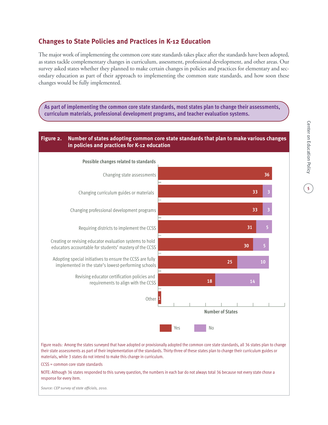# **Changes to State Policies and Practices in K-12 Education**

The major work of implementing the common core state standards takes place after the standards have been adopted, as states tackle complementary changes in curriculum, assessment, professional development, and other areas. Our survey asked states whether they planned to make certain changes in policies and practices for elementary and secondary education as part of their approach to implementing the common state standards, and how soon these changes would be fully implemented.

**As part of implementing the common core state standards, most states plan to change their assessments, curriculum materials, professional development programs, and teacher evaluation systems.**

#### **Figure 2. Number of states adopting common core state standards that plan to make various changes in policies and practices for K-12 education**



CCSS = common core state standards

NOTE: Although 36 states responded to this survey question, the numbers in each bar do not always total 36 because not every state chose a response for every item.

*Source: CEP survey of state officials, 2010.*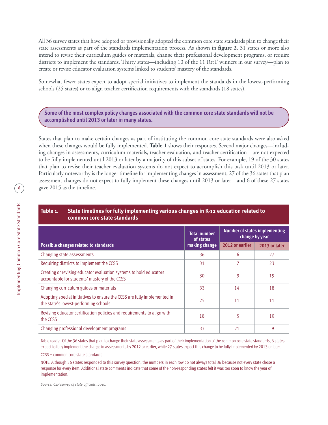All 36 survey states that have adopted or provisionally adopted the common core state standards plan to change their state assessments as part of the standards implementation process. As shown in **figure 2**, 31 states or more also intend to revise their curriculum guides or materials, change their professional development programs, or require districts to implement the standards. Thirty states—including 10 of the 11 RttT winners in our survey—plan to create or revise educator evaluation systems linked to students' mastery of the standards.

Somewhat fewer states expect to adopt special initiatives to implement the standards in the lowest-performing schools (25 states) or to align teacher certification requirements with the standards (18 states).

**Some of the mostcomplex policy changes associated with the common core state standards will not be accomplished until 2013 or later in many states.**

States that plan to make certain changes as part of instituting the common core state standards were also asked when these changes would be fully implemented. **Table 1** shows their responses. Several major changes—including changes in assessments, curriculum materials, teacher evaluation, and teacher certification—are not expected to be fully implemented until 2013 or later by a majority of this subset of states. For example, 19 of the 30 states that plan to revise their teacher evaluation systems do not expect to accomplish this task until 2013 or later. Particularly noteworthy is the longer timeline for implementing changes in assessment; 27 of the 36 states that plan assessment changes do not expect to fully implement these changes until 2013 or later—and 6 of these 27 states gave 2015 as the timeline.

#### **Table 1. State timelines for fully implementing various changes in K-12 education related to common core state standards**

|                                                                                                                     | <b>Total number</b><br>of states | <b>Number of states implementing</b><br>change by year |               |
|---------------------------------------------------------------------------------------------------------------------|----------------------------------|--------------------------------------------------------|---------------|
| Possible changes related to standards                                                                               | making change                    | 2012 or earlier                                        | 2013 or later |
| Changing state assessments                                                                                          | 36                               | 6                                                      | 27            |
| Requiring districts to implement the CCSS                                                                           | 31                               | 7                                                      | 23            |
| Creating or revising educator evaluation systems to hold educators<br>accountable for students' mastery of the CCSS | 30                               | 9                                                      | 19            |
| Changing curriculum guides or materials                                                                             | 33                               | 14                                                     | 18            |
| Adopting special initiatives to ensure the CCSS are fully implemented in<br>the state's lowest-performing schools   | 25                               | 11                                                     | 11            |
| Revising educator certification policies and requirements to align with<br>the CCSS                                 | 18                               | 5                                                      | 10            |
| Changing professional development programs                                                                          | 33                               | 21                                                     | 9             |

Table reads: Of the 36 states that plan to change their state assessments as part of their implementation of the common core state standards, 6 states expect to fullyimplement the change in assessments by 2012 or earlier, while 27 states expect this change to be fullyimplemented by 2013 or later.

CCSS = common core state standards

NOTE: Although 36 states responded to this survey question, the numbers in each row do not always total 36 because not every state chose a response for every item. Additional state comments indicate that some of the non-responding states felt it was too soon to know the year of implementation.

*Source: CEP survey of state officials, 2010.*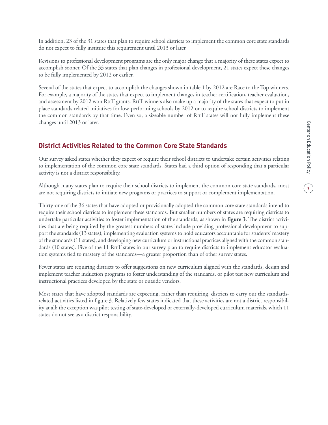In addition, 23 of the 31 states that plan to require school districts to implement the common core state standards do not expect to fully institute this requirement until 2013 or later.

Revisions to professional development programs are the only major change that a majority of these states expect to accomplish sooner. Of the 33 states that plan changes in professional development, 21 states expect these changes to be fully implemented by 2012 or earlier.

Several of the states that expect to accomplish the changes shown in table 1 by 2012 are Race to the Top winners. For example, a majority of the states that expect to implement changes in teacher certification, teacher evaluation, and assessment by 2012 won RttT grants. RttT winners also make up a majority of the states that expect to put in place standards-related initiatives for low-performing schools by 2012 or to require school districts to implement the common standards by that time. Even so, a sizeable number of RttT states will not fully implement these changes until 2013 or later.

# **District Activities Related to the Common Core State Standards**

Our survey asked states whether they expect or require their school districts to undertake certain activities relating to implementation of the common core state standards. States had a third option of responding that a particular activity is not a district responsibility.

Although many states plan to require their school districts to implement the common core state standards, most are not requiring districts to initiate new programs or practices to support or complement implementation.

Thirty-one of the 36 states that have adopted or provisionally adopted the common core state standards intend to require their school districts to implement these standards. But smaller numbers of states are requiring districts to undertake particular activities to foster implementation of the standards, as shown in **figure 3**. The district activities that are being required by the greatest numbers of states include providing professional development to support the standards (13 states), implementing evaluation systems to hold educators accountable for students' mastery of thestandards (11 states), and developing new curriculum or instructional practices aligned with the common standards (10 states). Five of the 11 RttT states in our survey plan to require districts to implement educator evaluation systems tied to mastery of the standards—a greater proportion than of other survey states.

Fewer states are requiring districts to offer suggestions on new curriculum aligned with the standards, design and implement teacher induction programs to foster understanding of the standards, or pilot test new curriculum and instructional practices developed by the state or outside vendors.

Most states that have adopted standards are expecting, rather than requiring, districts to carry out the standardsrelated activities listed in figure 3. Relatively few states indicated that these activities are not a district responsibility at all; the exception was pilot testing of state-developed or externally-developed curriculum materials, which 11 states do not see as a district responsibility.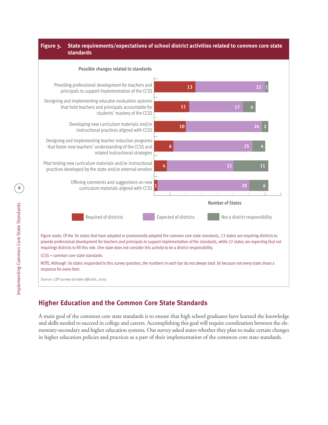#### **Figure 3. State requirements/expectations of school district activities related to common core state standards**



# **Higher Education and the Common Core State Standards**

A main goal of the common core state standards is to ensure that high school graduates have learned the knowledge and skills needed to succeed in college and careers. Accomplishing this goal will require coordination between the elementary-secondary and higher education systems. Our survey asked states whether they plan to make certain changes in higher education policies and practices as a part of their implementation of the common core state standards.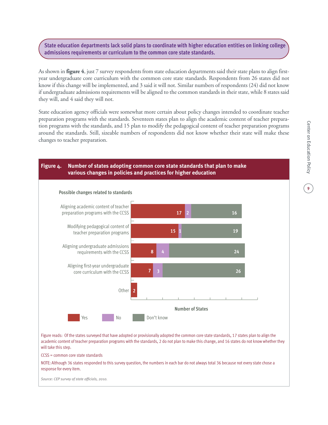## **State education departments lack solid plans to coordinate with higher education entities on linking college admissions requirements orcurriculum to the common core state standards.**

As shown in **figure** 4, just 7 survey respondents from state education departments said their state plans to align firstyear undergraduate core curriculum with the common core state standards. Respondents from 26 states did not know if this change will be implemented, and 3 said it will not. Similar numbers of respondents (24) did not know if undergraduate admissions requirements will be aligned to the common standards in their state, while 8 states said they will, and 4 said they will not.

State education agency officials were somewhat more certain about policy changes intended to coordinate teacher preparation programs with the standards. Seventeen states plan to align the academic content of teacher preparation programs with the standards, and 15 plan to modify the pedagogical content of teacher preparation programs around the standards. Still, sizeable numbers of respondents did not know whether their state will make these changes to teacher preparation.

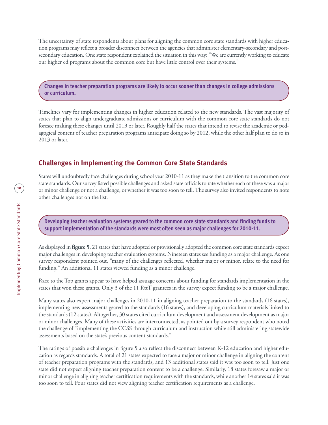The uncertainty of state respondents about plans for aligning the common core state standards with higher education programs may reflect a broader disconnect between the agencies that administerelementary-secondary and postsecondary education. One state respondent explained the situation in this way: "We are currently working to educate our higher ed programs about the common core but have little control over their systems."

**Changes in teacher preparation programs are likely to occur sooner than changes in college admissions orcurriculum.**

Timelines vary for implementing changes in higher education related to the new standards. The vast majority of states that plan to align undergraduate admissions or curriculum with the common core state standards do not foresee making these changes until 2013 or later. Roughly half the states that intend to revise the academic or pedagogical content of teacher preparation programs anticipate doing so by 2012, while the other half plan to do so in 2013 or later.

# **Challenges in Implementing the Common Core State Standards**

States will undoubtedly face challenges during school year 2010-11 as they make the transition to the common core state standards. Our survey listed possible challenges and asked state officials to rate whether each of these was a major or minor challenge or not a challenge, or whether it was too soon to tell.Thesurvey also invited respondents to note other challenges not on the list.

**Developing teacher evaluation systems geared to the common core state standards and finding funds to support implementation of the standards were most often seen as majorchallenges for 2010-11.**

As displayed in **figure** 5, 21 states that have adopted or provisionally adopted the common core state standards expect major challenges in developing teacher evaluation systems. Nineteen states see funding as a major challenge. As one survey respondent pointed out, "many of the challenges reflected, whether major or minor, relate to the need for funding." An additional 11 states viewed funding as a minor challenge.

Race to the Top grants appear to have helped assuage concerns about funding for standards implementation in the states that won these grants. Only 3 of the 11 RttT grantees in the survey expect funding to be a major challenge.

Many states also expect major challenges in 2010-11 in aligning teacher preparation to the standards (16 states), implementing new assessments geared to the standards (16 states), and developing curriculum materials linked to thestandards (12 states). Altogether, 30 states cited curriculum development and assessment development as major or minor challenges. Many of these activities are interconnected, as pointed out by a survey respondent who noted the challenge of "implementing the CCSS through curriculum and instruction while still administering statewide assessments based on the state's previous content standards."

The ratings of possible challenges in figure 5 also reflect the disconnect between K-12 education and higher education as regards standards. A total of 21 states expected to face a major or minor challenge in aligning the content of teacher preparation programs with the standards, and 13 additional states said it was too soon to tell. Just one state did not expect aligning teacher preparation content to be a challenge. Similarly, 18 states foresaw a major or minor challenge in aligning teacher certification requirements with the standards, while another 14 states said it was too soon to tell. Four states did not view aligning teacher certification requirements as a challenge.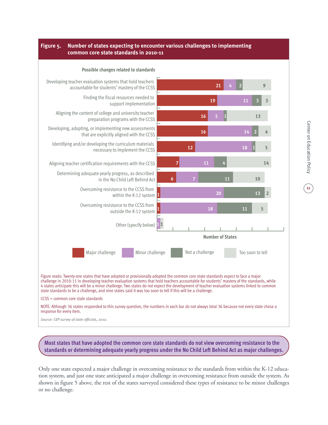#### **Figure 5. Number of states expecting to encounter various challenges to implementing common core state standards in 2010-11**



**Most states that have adopted the common core state standards do not view overcoming resistance to the standards or determining adequate yearly progress under the No Child Left Behind Act as majorchallenges.**

Only one state expected a major challenge in overcoming resistance to the standards from within the K-12 education system, and just one state anticipated a major challenge in overcoming resistance from outside the system. As shown in figure 5 above, the rest of the states surveyed considered these types of resistance to be minor challenges or no challenge.

**11**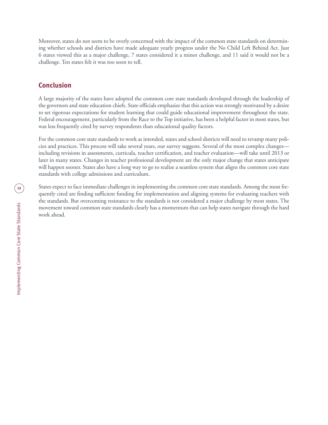Moreover, states do not seem to be overly concerned with the impact of the common state standards on determining whether schools and districts have made adequate yearly progress under the No Child Left Behind Act. Just 6 states viewed this as a major challenge, 7 states considered it a minor challenge, and 11 said it would not be a challenge. Ten states felt it was too soon to tell.

# **Conclusion**

A large majority of the states have adopted the common core state standards developed through the leadership of the governors and state education chiefs. State officials emphasize that this action was strongly motivated by a desire to set rigorous expectations for student learning that could guide educational improvement throughout the state. Federal encouragement, particularly from the Race to the Top initiative, has been a helpful factor in most states, but was less frequently cited by survey respondents than educational quality factors.

For the common core state standards to work as intended, states and school districts will need to revamp many policies and practices. This process will take several years, our survey suggests. Several of the most complex changes including revisions in assessments, curricula, teacher certification, and teacher evaluation—will take until 2013 or later in many states. Changes in teacher professional development are the only major change that states anticipate will happen sooner. States also have a long way to go to realize a seamless system that aligns the common core state standards with college admissions and curriculum.

States expect to face immediate challenges in implementing the common core state standards. Among the most frequently cited are finding sufficient funding for implementation and aligning systems for evaluating teachers with the standards. But overcoming resistance to the standards is not considered a major challenge by most states. The movement toward common state standards clearly has a momentum that can help states navigate through the hard work ahead.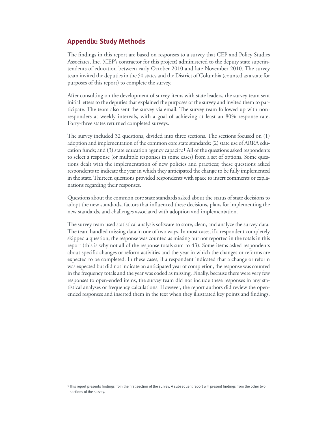### **Appendix: Study Methods**

The findings in this report are based on responses to a survey that CEP and Policy Studies Associates, Inc. (CEP's contractor for this project) administered to the deputy state superintendents of education between early October 2010 and late November 2010. The survey team invited the deputies in the 50 states and the District of Columbia (counted as a statefor purposes of this report) to complete the survey.

After consulting on the development of survey items with state leaders, the survey team sent initial letters to the deputies that explained the purposes of the survey and invited them to participate. The team also sent the survey via email. The survey team followed up with nonresponders at weekly intervals, with a goal of achieving at least an 80% response rate. Forty-three states returned completed surveys.

The survey included 32 questions, divided into three sections. The sections focused on (1) adoption and implementation of the common corestatestandards; (2) state use of ARRA education funds; and  $(3)$  state education agency capacity.<sup>1</sup> All of the questions asked respondents to select a response (or multiple responses in some cases) from a set of options. Some questions dealt with the implementation of new policies and practices; these questions asked respondents to indicate the year in which they anticipated the change to be fully implemented in the state. Thirteen questions provided respondents with space to insert comments or explanations regarding their responses.

Questions about the common core state standards asked about the status of state decisions to adopt the new standards, factors that influenced these decisions, plans for implementing the new standards, and challenges associated with adoption and implementation.

The survey team used statistical analysis software to store, clean, and analyze the survey data. The team handled missing data in one of two ways. In most cases, if a respondent completely skipped a question, the response was counted as missing but not reported in the totals in this report (this is why not all of the response totals sum to 43). Some items asked respondents about specific changes or reform activities and the year in which the changes or reforms are expected to be completed. In these cases, if a respondent indicated that a change or reform was expected but did not indicate an anticipated year of completion, the response was counted in the frequency totals and the year was coded as missing. Finally, because there were very few responses to open-ended items, the survey team did not include these responses in any statistical analyses or frequency calculations. However, the report authors did review the openended responses and inserted them in the text when they illustrated key points and findings.

<sup>1</sup> This report presents findings from the first section of the survey. A subsequent report will present findings from the other two sections of the survey.